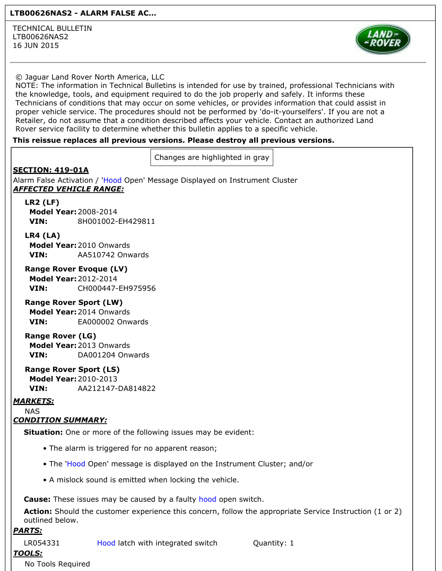#### LTB00626NAS2 - ALARM FALSE AC...

TECHNICAL BULLETIN LTB00626NAS2 16 JUN 2015



#### © Jaguar Land Rover North America, LLC

NOTE: The information in Technical Bulletins is intended for use by trained, professional Technicians with the knowledge, tools, and equipment required to do the job properly and safely. It informs these Technicians of conditions that may occur on some vehicles, or provides information that could assist in proper vehicle service. The procedures should not be performed by 'do-it-yourselfers'. If you are not a Retailer, do not assume that a condition described affects your vehicle. Contact an authorized Land Rover service facility to determine whether this bulletin applies to a specific vehicle.

#### This reissue replaces all previous versions. Please destroy all previous versions.

Changes are highlighted in gray

# SECTION: 419-01A

Alarm False Activation / 'Hood Open' Message Displayed on Instrument Cluster AFFECTED VEHICLE RANGE:

### LR2 (LF)

Model Year:2008-2014 VIN: 8H001002-EH429811

#### LR4 (LA)

Model Year:2010 Onwards VIN: AA510742 Onwards

## Range Rover Evoque (LV)

Model Year:2012-2014 VIN: CH000447-EH975956

#### Range Rover Sport (LW)

Model Year:2014 Onwards VIN: EA000002 Onwards

#### Range Rover (LG)

Model Year:2013 Onwards VIN: DA001204 Onwards

# Range Rover Sport (LS)

Model Year:2010-2013 VIN: AA212147-DA814822

# MARKETS:

NAS

# CONDITION SUMMARY:

**Situation:** One or more of the following issues may be evident:

- The alarm is triggered for no apparent reason;
- The 'Hood Open' message is displayed on the Instrument Cluster; and/or
- A mislock sound is emitted when locking the vehicle.

Cause: These issues may be caused by a faulty hood open switch.

Action: Should the customer experience this concern, follow the appropriate Service Instruction (1 or 2) outlined below.

## PARTS:

LR054331 Hood latch with integrated switch Quantity: 1

# TOOLS:

No Tools Required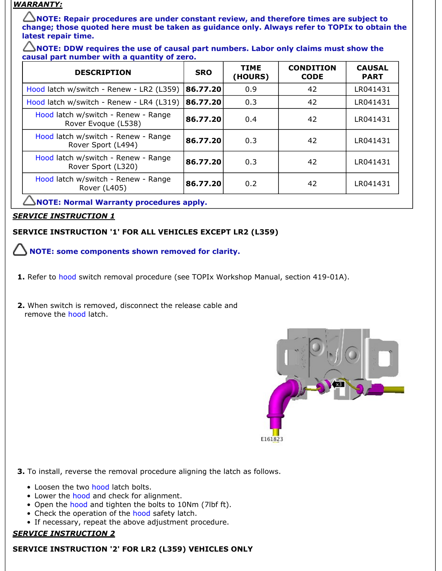# WARRANTY:

 $\triangle$ NOTE: Repair procedures are under constant review, and therefore times are subject to change; those quoted here must be taken as guidance only. Always refer to TOPIx to obtain the latest repair time.

 $\triangle$ NOTE: DDW requires the use of causal part numbers. Labor only claims must show the causal part number with a quantity of zero.

| <b>DESCRIPTION</b>                                         | <b>SRO</b> | <b>TIME</b><br>(HOURS) | <b>CONDITION</b><br><b>CODE</b> | <b>CAUSAL</b><br><b>PART</b> |
|------------------------------------------------------------|------------|------------------------|---------------------------------|------------------------------|
| Hood latch w/switch - Renew - LR2 (L359)                   | 86.77.20   | 0.9                    | 42                              | LR041431                     |
| Hood latch w/switch - Renew - LR4 (L319)                   | 86.77.20   | 0.3                    | 42                              | LR041431                     |
| Hood latch w/switch - Renew - Range<br>Rover Evoque (L538) | 86.77.20   | 0.4                    | 42                              | LR041431                     |
| Hood latch w/switch - Renew - Range<br>Rover Sport (L494)  | 86.77.20   | 0.3                    | 42                              | LR041431                     |
| Hood latch w/switch - Renew - Range<br>Rover Sport (L320)  | 86.77.20   | 0.3                    | 42                              | LR041431                     |
| Hood latch w/switch - Renew - Range<br>Rover (L405)        | 86.77.20   | 0.2                    | 42                              | LR041431                     |

 $\triangle$ NOTE: Normal Warranty procedures apply.

# **SERVICE INSTRUCTION 1**

# SERVICE INSTRUCTION '1' FOR ALL VEHICLES EXCEPT LR2 (L359)

 $\bigtriangleup$  NOTE: some components shown removed for clarity.

- 1. Refer to hood switch removal procedure (see TOPIx Workshop Manual, section 419-01A).
- 2. When switch is removed, disconnect the release cable and remove the hood latch.



3. To install, reverse the removal procedure aligning the latch as follows.

- Loosen the two hood latch bolts.
- Lower the hood and check for alignment.
- Open the hood and tighten the bolts to 10Nm (7lbf ft).
- Check the operation of the hood safety latch.
- If necessary, repeat the above adjustment procedure.

# SERVICE INSTRUCTION 2

# SERVICE INSTRUCTION '2' FOR LR2 (L359) VEHICLES ONLY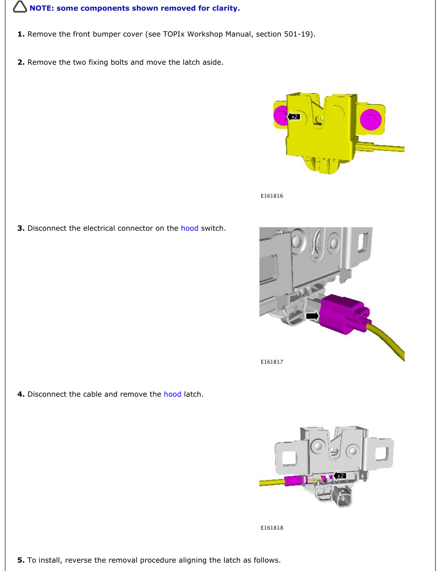# **NOTE: some components shown removed for clarity.**

- 1. Remove the front bumper cover (see TOPIx Workshop Manual, section 501-19).
- 2. Remove the two fixing bolts and move the latch aside.



E161816

3. Disconnect the electrical connector on the hood switch.



4. Disconnect the cable and remove the hood latch.



E161818

5. To install, reverse the removal procedure aligning the latch as follows.